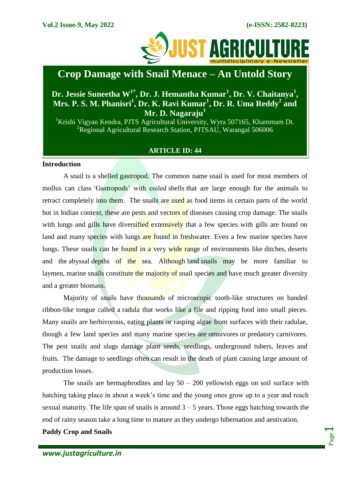

# **Crop Damage with Snail Menace – An Untold Story**

## **Dr. Jessie Suneetha W1\* , Dr. J. Hemantha Kumar<sup>1</sup> , Dr. V. Chaitanya<sup>1</sup> , Mrs. P. S. M. Phanisri<sup>1</sup> , Dr. K. Ravi Kumar<sup>1</sup> , Dr. R. Uma Reddy<sup>2</sup> and Mr. D. Nagaraju<sup>1</sup>**

<sup>1</sup>Krishi Vigyan Kendra, PJTS Agricultural University, Wyra 507165, Khammam Dt.  ${}^{2}$ Regional Agricultural Research Station, PJTSAU, Warangal 506006

### **ARTICLE ID: 44**

#### **Introduction**

A snail is a shelled [gastropod.](https://en.wikipedia.org/wiki/Gastropod) The common name snail is used for most members of mollus can class 'Gastropods' with coiled [shells](https://en.wikipedia.org/wiki/Gastropod_shell) that are large enough for the animals to retract completely into them. The snails are used as food items in certain parts of the world but in Indian context, these are pests and vectors of diseases causing crop damage. The snails with lungs and gills have diversified extensively that a few species with gills are found on land and many species with lungs are found in freshwater. Even a few marine species have lungs. These snails can be found in a very wide range of environments like [ditches,](https://en.wikipedia.org/wiki/Ditch) [deserts](https://en.wikipedia.org/wiki/Desert) and the [abyssal](https://en.wikipedia.org/wiki/Abyssal_zone) depths of the sea. Although [land](https://en.wikipedia.org/wiki/Terrestrial_ecoregion) snails may be more familiar to laymen, [marine](https://en.wikipedia.org/wiki/Marine_biology) snails constitute the majority of snail species and have much greater diversity and a greater [biomass.](https://en.wikipedia.org/wiki/Biomass_(ecology))

Majority of snails have thousands of microscopic tooth-like structures on banded ribbon-like tongue called a [radula](https://en.wikipedia.org/wiki/Radula) that works like a file and ripping food into small pieces. Many snails are [herbivorous,](https://en.wikipedia.org/wiki/Herbivore) eating plants or rasping algae from surfaces with their radulae, though a few land species and many marine species are [omnivores](https://en.wikipedia.org/wiki/Omnivore) or [predatory](https://en.wikipedia.org/wiki/Predation) [carnivores.](https://en.wikipedia.org/wiki/Carnivore) The pest snails and slugs damage plant seeds, seedlings, underground tubers, leaves and fruits. The damage to seedlings often can result in the death of plant causing large amount of production losses.

The snails are hermaphrodites and lay  $50 - 200$  yellowish eggs on soil surface with hatching taking place in about a week's time and the young ones grow up to a year and reach sexual maturity. The life span of snails is around  $3 - 5$  years. Those eggs hatching towards the end of rainy season take a long time to mature as they undergo hibernation and aestivation.

**Paddy Crop and Snails**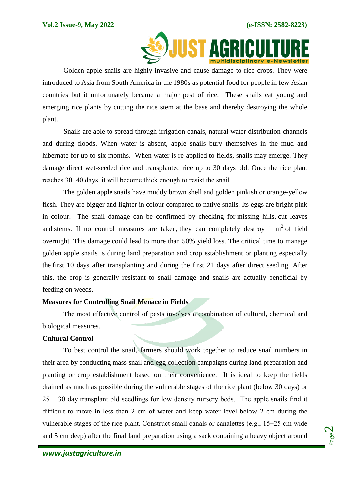

Golden apple snails are highly invasive and cause damage to rice crops. They were introduced to Asia from South America in the 1980s as potential food for people in few Asian countries but it unfortunately became a major pest of rice. These snails eat young and emerging rice plants by cutting the rice stem at the base and thereby destroying the whole plant.

Snails are able to spread through irrigation canals, natural water distribution channels and during floods. When water is absent, apple snails bury themselves in the mud and hibernate for up to six months. When water is re-applied to fields, snails may emerge. They damage direct wet-seeded rice and transplanted rice up to 30 days old. Once the rice plant reaches 30−40 days, it will become thick enough to resist the snail.

The golden apple snails have muddy brown shell and golden pinkish or orange-yellow flesh. They are bigger and lighter in colour compared to native snails. Its eggs are bright pink in colour. The snail damage can be confirmed by checking for missing hills, cut leaves and stems. If no control measures are taken, they can completely destroy 1  $m<sup>2</sup>$  of field overnight. This damage could lead to more than 50% yield loss. The critical time to manage golden apple snails is during land preparation and crop establishment or planting especially the first 10 days after transplanting and during the first 21 days after direct seeding. After this, the crop is generally resistant to snail damage and snails are actually beneficial by feeding on weeds.

#### **Measures for Controlling Snail Menace in Fields**

The most effective control of pests involves a combination of cultural, chemical and biological measures.

#### **Cultural Control**

To best control the snail, farmers should work together to reduce snail numbers in their area by conducting mass snail and egg collection campaigns during land preparation and planting or crop establishment based on their convenience. It is ideal to keep the fields drained as much as possible during the vulnerable stages of the rice plant (below 30 days) or 25 − 30 day transplant old seedlings for low density nursery beds. The apple snails find it difficult to move in less than 2 cm of water and keep water level below 2 cm during the vulnerable stages of the rice plant. Construct small canals or canalettes (e.g., 15−25 cm wide and 5 cm deep) after the final land preparation using a sack containing a heavy object around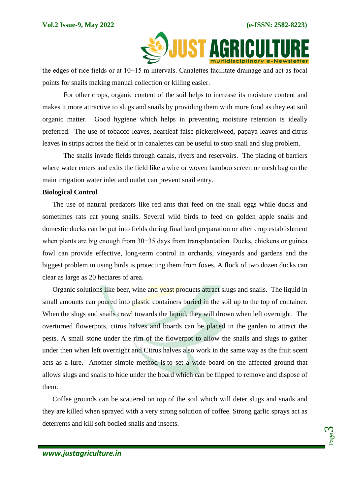

the edges of rice fields or at 10−15 m intervals. Canalettes facilitate drainage and act as focal points for snails making manual collection or killing easier.

For other crops, organic content of the soil helps to increase its moisture content and makes it more attractive to slugs and snails by providing them with more food as they eat soil organic matter. Good hygiene which helps in preventing moisture retention is ideally preferred. The use of tobacco leaves, heartleaf false pickerelweed, papaya leaves and citrus leaves in strips across the field or in canalettes can be useful to stop snail and slug problem.

The snails invade fields through canals, rivers and reservoirs. The placing of barriers where water enters and exits the field like a wire or woven bamboo screen or mesh bag on the main irrigation water inlet and outlet can prevent snail entry.

#### **Biological Control**

The use of natural predators like red ants that feed on the snail eggs while ducks and sometimes rats eat young snails. Several wild birds to feed on golden apple snails and domestic ducks can be put into fields during final land preparation or after crop establishment when plants are big enough from 30−35 days from transplantation. Ducks, chickens or guinea fowl can provide effective, long-term control in orchards, vineyards and gardens and the biggest problem in using birds is protecting them from foxes. A flock of two dozen ducks can clear as large as 20 hectares of area.

Organic solutions like beer, wine and yeast products attract slugs and snails. The liquid in small amounts can poured into plastic containers buried in the soil up to the top of container. When the slugs and snails crawl towards the liquid, they will drown when left overnight. The overturned flowerpots, citrus halves and boards can be placed in the garden to attract the pests. A small stone under the rim of the flowerpot to allow the snails and slugs to gather under then when left overnight and Citrus halves also work in the same way as the fruit scent acts as a lure. Another simple method is to set a wide board on the affected ground that allows slugs and snails to hide under the board which can be flipped to remove and dispose of them.

Coffee grounds can be scattered on top of the soil which will deter slugs and snails and they are killed when sprayed with a very strong solution of coffee. Strong garlic sprays act as deterrents and kill soft bodied snails and insects.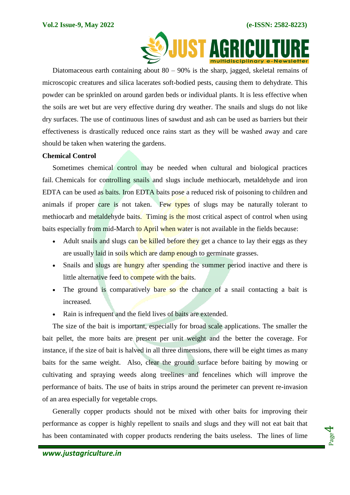

Diatomaceous earth containing about  $80 - 90\%$  is the sharp, jagged, skeletal remains of microscopic creatures and silica lacerates soft-bodied pests, causing them to dehydrate. This powder can be sprinkled on around garden beds or individual plants. It is less effective when the soils are wet but are very effective during dry weather. The snails and slugs do not like dry surfaces. The use of continuous lines of sawdust and ash can be used as barriers but their effectiveness is drastically reduced once rains start as they will be washed away and care should be taken when watering the gardens.

#### **Chemical Control**

Sometimes chemical control may be needed when cultural and biological practices fail. Chemicals for controlling snails and slugs include methiocarb, metaldehyde and iron EDTA can be used as baits. Iron EDTA baits pose a reduced risk of poisoning to children and animals if proper care is not taken. Few types of slugs may be naturally tolerant to methiocarb and metaldehyde baits. Timing is the most critical aspect of control when using baits especially from mid-March to April when water is not available in the fields because:

- Adult snails and slugs can be killed before they get a chance to lay their eggs as they are usually laid in soils which are damp enough to germinate grasses.
- Snails and slugs are hungry after spending the summer period inactive and there is little alternative feed to compete with the baits.
- The ground is comparatively bare so the chance of a snail contacting a bait is increased.
- Rain is infrequent and the field lives of baits are extended.

The size of the bait is important, especially for broad scale applications. The smaller the bait pellet, the more baits are present per unit weight and the better the coverage. For instance, if the size of bait is halved in all three dimensions, there will be eight times as many baits for the same weight. Also, clear the ground surface before baiting by mowing or cultivating and spraying weeds along treelines and fencelines which will improve the performance of baits. The use of baits in strips around the perimeter can prevent re-invasion of an area especially for vegetable crops.

Generally copper products should not be mixed with other baits for improving their performance as copper is highly repellent to snails and slugs and they will not eat bait that has been contaminated with copper products rendering the baits useless. The lines of lime